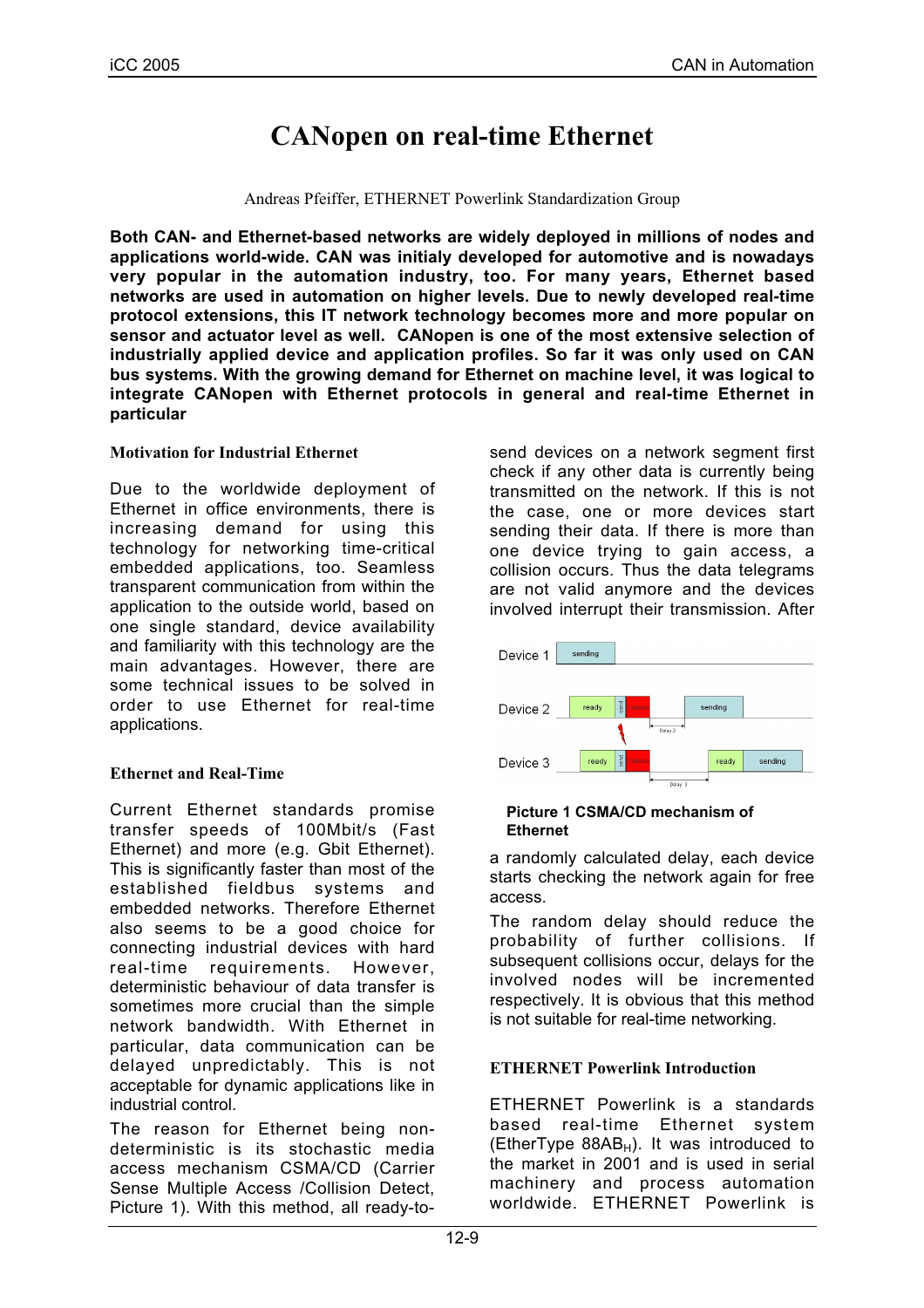# **CANopen on real-time Ethernet**

#### Andreas Pfeiffer, ETHERNET Powerlink Standardization Group

**Both CAN- and Ethernet-based networks are widely deployed in millions of nodes and applications world-wide. CAN was initialy developed for automotive and is nowadays very popular in the automation industry, too. For many years, Ethernet based networks are used in automation on higher levels. Due to newly developed real-time protocol extensions, this IT network technology becomes more and more popular on sensor and actuator level as well. CANopen is one of the most extensive selection of industrially applied device and application profiles. So far it was only used on CAN bus systems. With the growing demand for Ethernet on machine level, it was logical to integrate CANopen with Ethernet protocols in general and real-time Ethernet in particular**

## **Motivation for Industrial Ethernet**

Due to the worldwide deployment of Ethernet in office environments, there is increasing demand for using this technology for networking time-critical embedded applications, too. Seamless transparent communication from within the application to the outside world, based on one single standard, device availability and familiarity with this technology are the main advantages. However, there are some technical issues to be solved in order to use Ethernet for real-time applications.

## **Ethernet and Real-Time**

Current Ethernet standards promise transfer speeds of 100Mbit/s (Fast Ethernet) and more (e.g. Gbit Ethernet). This is significantly faster than most of the established fieldbus systems and embedded networks. Therefore Ethernet also seems to be a good choice for connecting industrial devices with hard real-time requirements. However, deterministic behaviour of data transfer is sometimes more crucial than the simple network bandwidth. With Ethernet in particular, data communication can be delayed unpredictably. This is not acceptable for dynamic applications like in industrial control.

The reason for Ethernet being nondeterministic is its stochastic media access mechanism CSMA/CD (Carrier Sense Multiple Access /Collision Detect, Picture 1). With this method, all ready-tosend devices on a network segment first check if any other data is currently being transmitted on the network. If this is not the case, one or more devices start sending their data. If there is more than one device trying to gain access, a collision occurs. Thus the data telegrams are not valid anymore and the devices involved interrupt their transmission. After



#### **Picture 1 CSMA/CD mechanism of Ethernet**

a randomly calculated delay, each device starts checking the network again for free access.

The random delay should reduce the probability of further collisions. If subsequent collisions occur, delays for the involved nodes will be incremented respectively. It is obvious that this method is not suitable for real-time networking.

## **ETHERNET Powerlink Introduction**

ETHERNET Powerlink is a standards based real-time Ethernet system (EtherType  $88AB_H$ ). It was introduced to the market in 2001 and is used in serial machinery and process automation worldwide. ETHERNET Powerlink is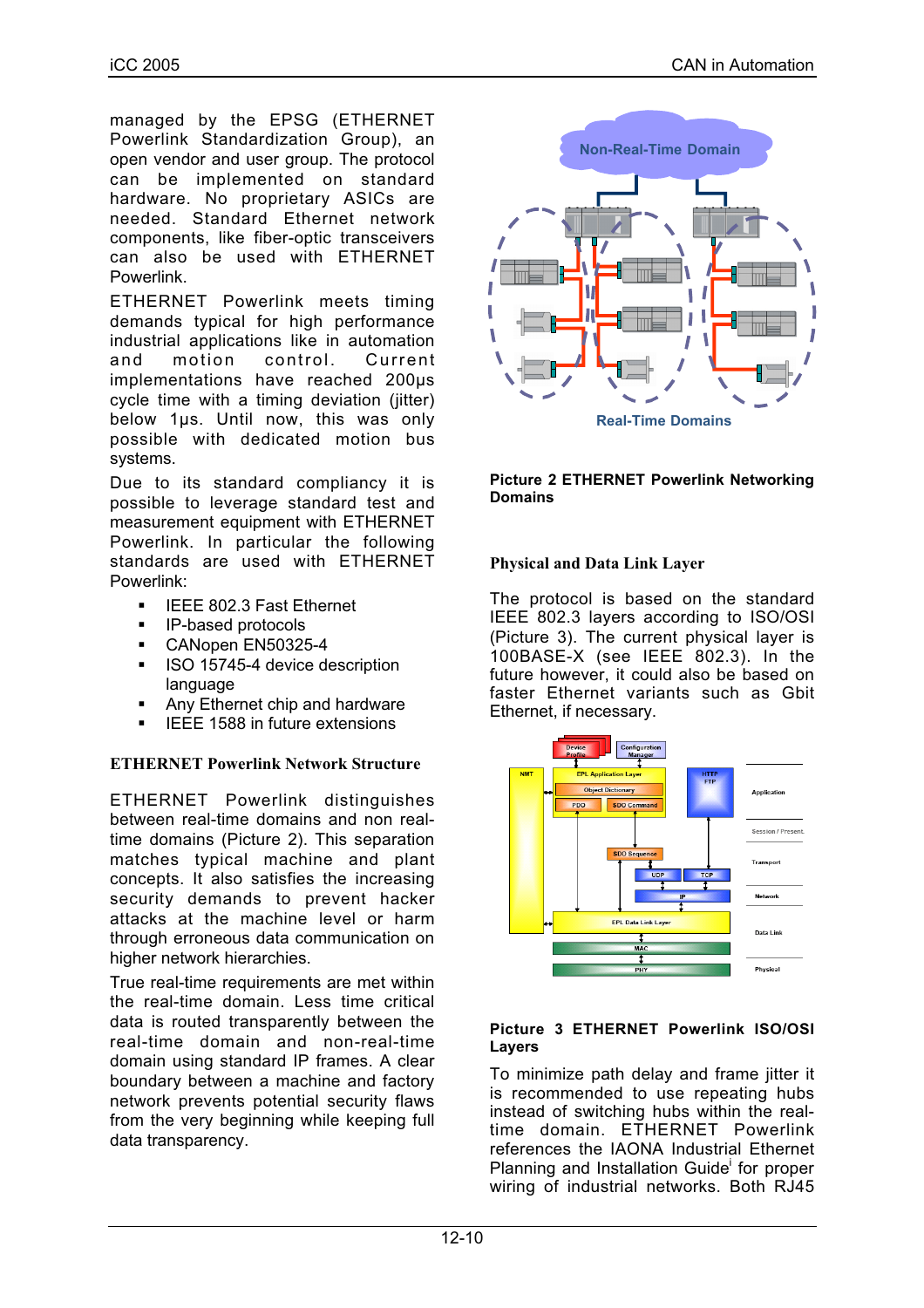managed by the EPSG (ETHERNET Powerlink Standardization Group), an open vendor and user group. The protocol can be implemented on standard hardware. No proprietary ASICs are needed. Standard Ethernet network components, like fiber-optic transceivers can also be used with ETHERNET Powerlink.

ETHERNET Powerlink meets timing demands typical for high performance industrial applications like in automation<br>and motion control. Current and motion control. Current implementations have reached 200µs cycle time with a timing deviation (jitter) below 1µs. Until now, this was only possible with dedicated motion bus systems.

Due to its standard compliancy it is possible to leverage standard test and measurement equipment with ETHERNET Powerlink. In particular the following standards are used with ETHERNET Powerlink:

- **IEEE 802.3 Fast Ethernet**
- **IP-based protocols**
- CANopen EN50325-4
- **ISO 15745-4 device description** language
- Any Ethernet chip and hardware
- IEEE 1588 in future extensions

## **ETHERNET Powerlink Network Structure**

ETHERNET Powerlink distinguishes between real-time domains and non realtime domains (Picture 2). This separation matches typical machine and plant concepts. It also satisfies the increasing security demands to prevent hacker attacks at the machine level or harm through erroneous data communication on higher network hierarchies.

True real-time requirements are met within the real-time domain. Less time critical data is routed transparently between the real-time domain and non-real-time domain using standard IP frames. A clear boundary between a machine and factory network prevents potential security flaws from the very beginning while keeping full data transparency.



#### **Picture 2 ETHERNET Powerlink Networking Domains**

## **Physical and Data Link Layer**

The protocol is based on the standard IEEE 802.3 layers according to ISO/OSI (Picture 3). The current physical layer is 100BASE-X (see IEEE 802.3). In the future however, it could also be based on faster Ethernet variants such as Gbit Ethernet, if necessary.



#### **Picture 3 ETHERNET Powerlink ISO/OSI Layers**

To minimize path delay and frame jitter it is recommended to use repeating hubs instead of switching hubs within the realtime domain. ETHERNET Powerlink references the IAONA Industrial Ethernet Planning and Installation Guide for proper wiring of industrial networks. Both RJ45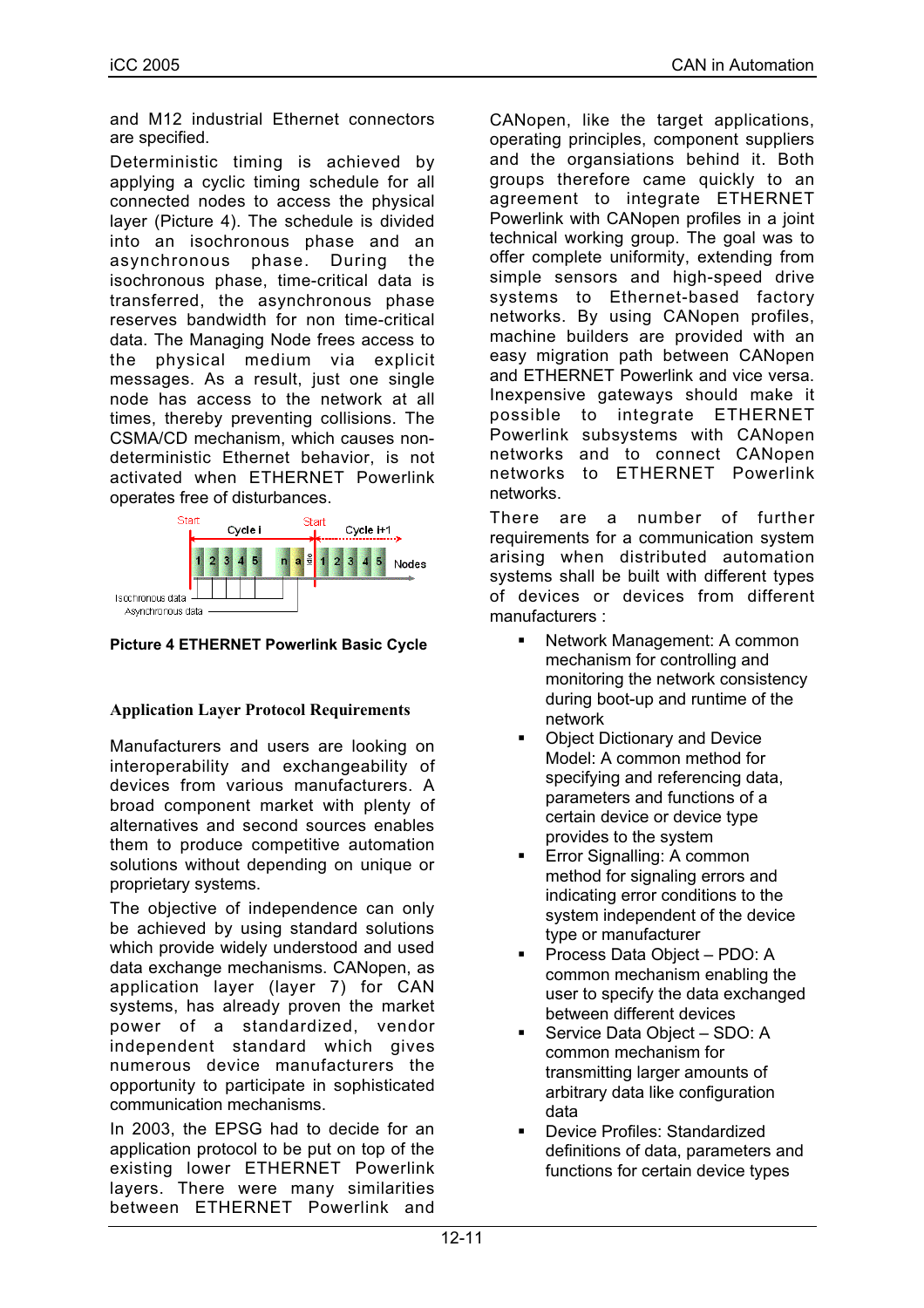and M12 industrial Ethernet connectors are specified.

Deterministic timing is achieved by applying a cyclic timing schedule for all connected nodes to access the physical layer (Picture 4). The schedule is divided into an isochronous phase and an asynchronous phase. During the isochronous phase, time-critical data is transferred, the asynchronous phase reserves bandwidth for non time-critical data. The Managing Node frees access to the physical medium via explicit messages. As a result, just one single node has access to the network at all times, thereby preventing collisions. The CSMA/CD mechanism, which causes nondeterministic Ethernet behavior, is not activated when ETHERNET Powerlink operates free of disturbances.



**Picture 4 ETHERNET Powerlink Basic Cycle**

# **Application Layer Protocol Requirements**

Manufacturers and users are looking on interoperability and exchangeability of devices from various manufacturers. A broad component market with plenty of alternatives and second sources enables them to produce competitive automation solutions without depending on unique or proprietary systems.

The objective of independence can only be achieved by using standard solutions which provide widely understood and used data exchange mechanisms. CANopen, as application layer (layer 7) for CAN systems, has already proven the market power of a standardized, vendor independent standard which gives numerous device manufacturers the opportunity to participate in sophisticated communication mechanisms.

In 2003, the EPSG had to decide for an application protocol to be put on top of the existing lower ETHERNET Powerlink layers. There were many similarities between ETHERNET Powerlink and

CANopen, like the target applications, operating principles, component suppliers and the organsiations behind it. Both groups therefore came quickly to an agreement to integrate ETHERNET Powerlink with CANopen profiles in a joint technical working group. The goal was to offer complete uniformity, extending from simple sensors and high-speed drive systems to Ethernet-based factory networks. By using CANopen profiles, machine builders are provided with an easy migration path between CANopen and ETHERNET Powerlink and vice versa. Inexpensive gateways should make it possible to integrate ETHERNET Powerlink subsystems with CANopen networks and to connect CANopen networks to ETHERNET Powerlink networks.

There are a number of further requirements for a communication system arising when distributed automation systems shall be built with different types of devices or devices from different manufacturers :

- Network Management: A common mechanism for controlling and monitoring the network consistency during boot-up and runtime of the network
- Object Dictionary and Device Model: A common method for specifying and referencing data, parameters and functions of a certain device or device type provides to the system
- **Error Signalling: A common** method for signaling errors and indicating error conditions to the system independent of the device type or manufacturer
- Process Data Object PDO: A common mechanism enabling the user to specify the data exchanged between different devices
- Service Data Object SDO: A common mechanism for transmitting larger amounts of arbitrary data like configuration data
- Device Profiles: Standardized definitions of data, parameters and functions for certain device types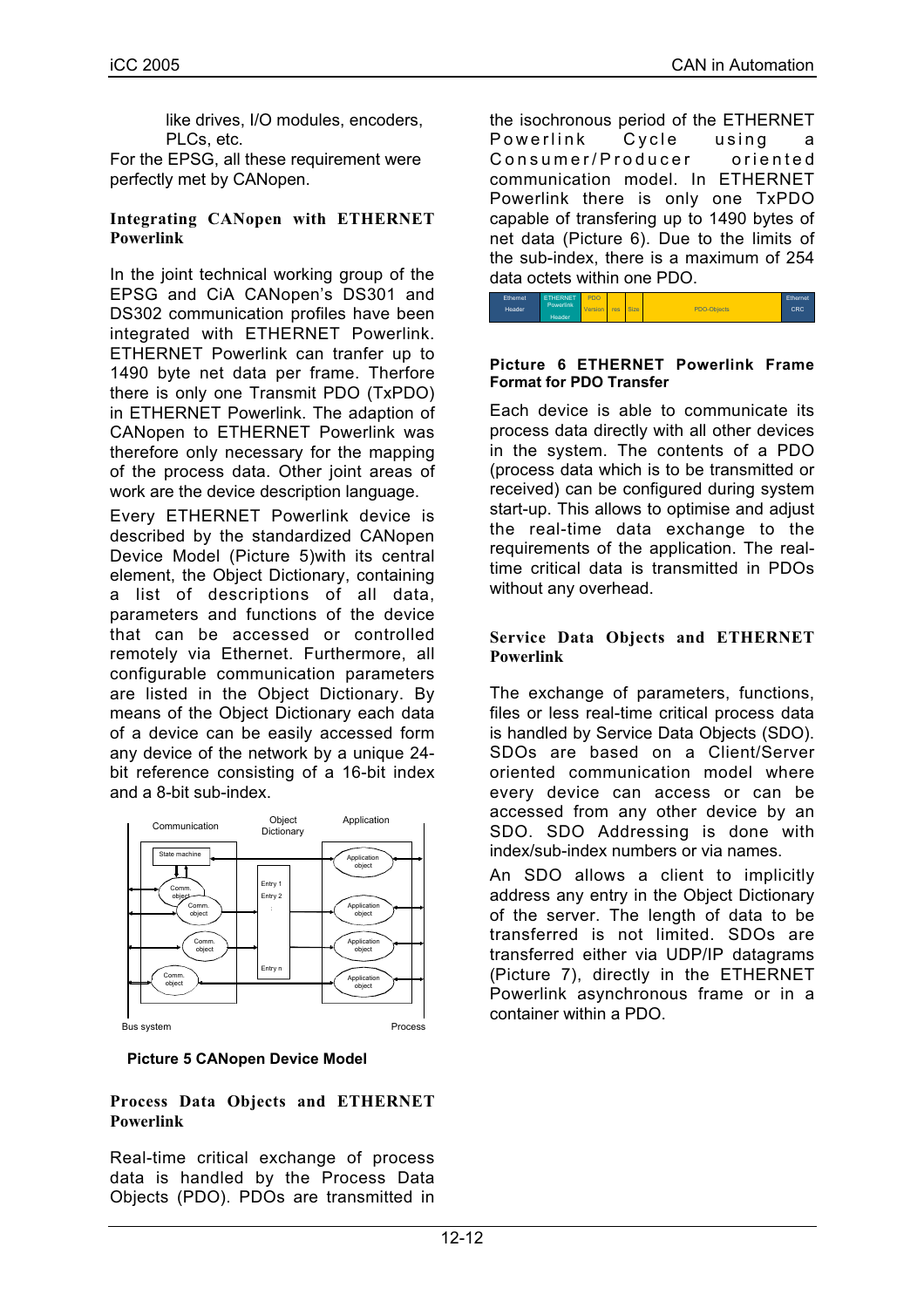like drives, I/O modules, encoders, PLCs, etc.

For the EPSG, all these requirement were perfectly met by CANopen.

#### **Integrating CANopen with ETHERNET Powerlink**

In the joint technical working group of the EPSG and CiA CANopen's DS301 and DS302 communication profiles have been integrated with ETHERNET Powerlink. ETHERNET Powerlink can tranfer up to 1490 byte net data per frame. Therfore there is only one Transmit PDO (TxPDO) in ETHERNET Powerlink. The adaption of CANopen to ETHERNET Powerlink was therefore only necessary for the mapping of the process data. Other joint areas of work are the device description language.

Every ETHERNET Powerlink device is described by the standardized CANopen Device Model (Picture 5)with its central element, the Object Dictionary, containing a list of descriptions of all data, parameters and functions of the device that can be accessed or controlled remotely via Ethernet. Furthermore, all configurable communication parameters are listed in the Object Dictionary. By means of the Object Dictionary each data of a device can be easily accessed form any device of the network by a unique 24 bit reference consisting of a 16-bit index and a 8-bit sub-index.



**Picture 5 CANopen Device Model**

## **Process Data Objects and ETHERNET Powerlink**

Real-time critical exchange of process data is handled by the Process Data Objects (PDO). PDOs are transmitted in the isochronous period of the ETHERNET Powerlink Cycle using a Consumer/Producer oriented communication model. In ETHERNET Powerlink there is only one TxPDO capable of transfering up to 1490 bytes of net data (Picture 6). Due to the limits of the sub-index, there is a maximum of 254 data octets within one PDO.



#### **Picture 6 ETHERNET Powerlink Frame Format for PDO Transfer**

Each device is able to communicate its process data directly with all other devices in the system. The contents of a PDO (process data which is to be transmitted or received) can be configured during system start-up. This allows to optimise and adjust the real-time data exchange to the requirements of the application. The realtime critical data is transmitted in PDOs without any overhead.

#### **Service Data Objects and ETHERNET Powerlink**

The exchange of parameters, functions, files or less real-time critical process data is handled by Service Data Objects (SDO). SDOs are based on a Client/Server oriented communication model where every device can access or can be accessed from any other device by an SDO. SDO Addressing is done with index/sub-index numbers or via names.

An SDO allows a client to implicitly address any entry in the Object Dictionary of the server. The length of data to be transferred is not limited. SDOs are transferred either via UDP/IP datagrams (Picture 7), directly in the ETHERNET Powerlink asynchronous frame or in a container within a PDO.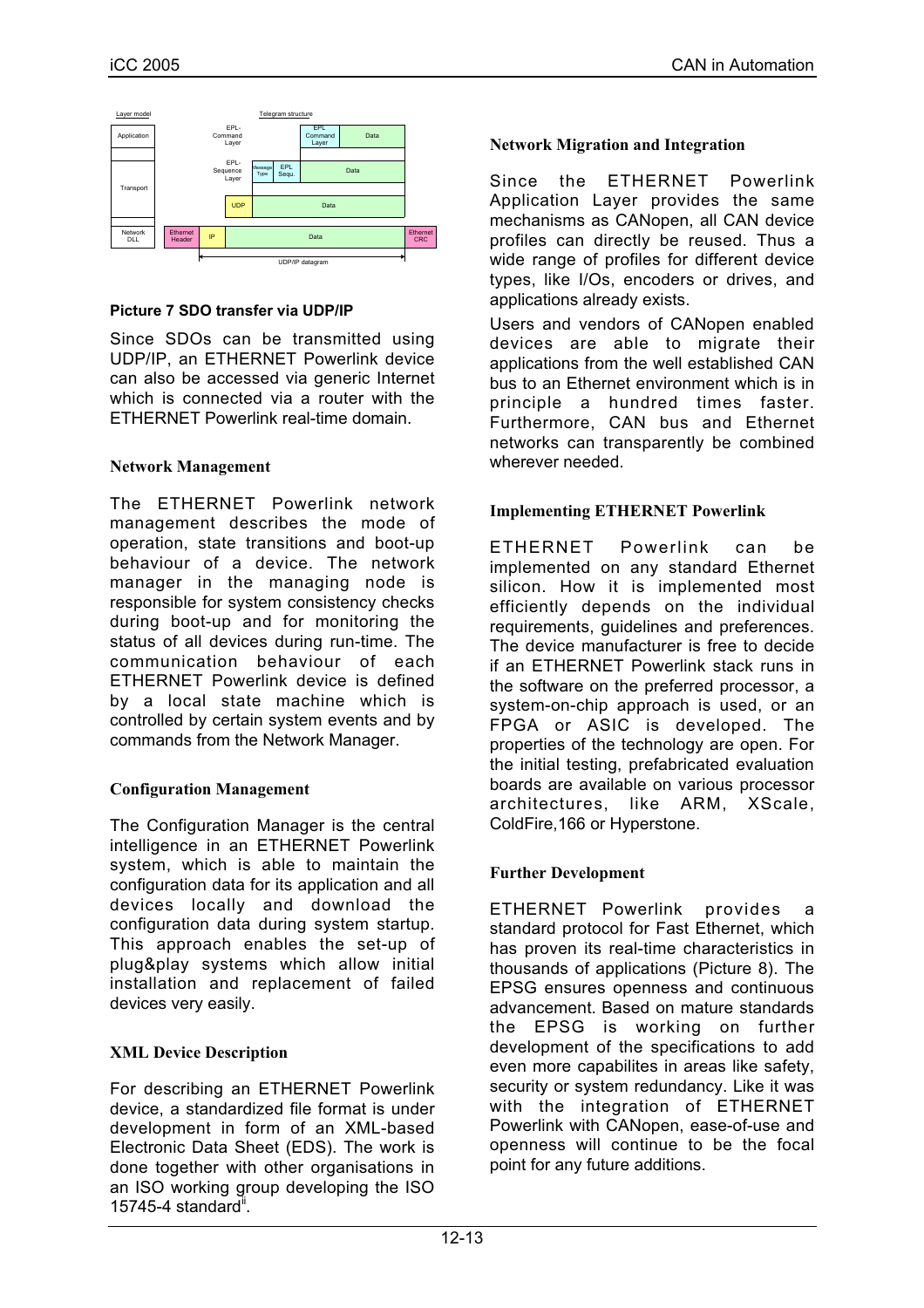

## **Picture 7 SDO transfer via UDP/IP**

Since SDOs can be transmitted using UDP/IP, an ETHERNET Powerlink device can also be accessed via generic Internet which is connected via a router with the ETHERNET Powerlink real-time domain.

# **Network Management**

The ETHERNET Powerlink network management describes the mode of operation, state transitions and boot-up behaviour of a device. The network manager in the managing node is responsible for system consistency checks during boot-up and for monitoring the status of all devices during run-time. The communication behaviour of each ETHERNET Powerlink device is defined by a local state machine which is controlled by certain system events and by commands from the Network Manager.

# **Configuration Management**

The Configuration Manager is the central intelligence in an ETHERNET Powerlink system, which is able to maintain the configuration data for its application and all devices locally and download the configuration data during system startup. This approach enables the set-up of plug&play systems which allow initial installation and replacement of failed devices very easily.

# **XML Device Description**

For describing an ETHERNET Powerlink device, a standardized file format is under development in form of an XML-based Electronic Data Sheet (EDS). The work is done together with other organisations in an ISO working group developing the ISO  $15745-4$  standard".

## **Network Migration and Integration**

Since the ETHERNET Powerlink Application Layer provides the same mechanisms as CANopen, all CAN device profiles can directly be reused. Thus a wide range of profiles for different device types, like I/Os, encoders or drives, and applications already exists.

Users and vendors of CANopen enabled devices are able to migrate their applications from the well established CAN bus to an Ethernet environment which is in principle a hundred times faster. Furthermore, CAN bus and Ethernet networks can transparently be combined wherever needed.

## **Implementing ETHERNET Powerlink**

ETHERNET Powerlink can be implemented on any standard Ethernet silicon. How it is implemented most efficiently depends on the individual requirements, guidelines and preferences. The device manufacturer is free to decide if an ETHERNET Powerlink stack runs in the software on the preferred processor, a system-on-chip approach is used, or an FPGA or ASIC is developed. The properties of the technology are open. For the initial testing, prefabricated evaluation boards are available on various processor architectures, like ARM, XScale, ColdFire,166 or Hyperstone.

# **Further Development**

ETHERNET Powerlink provides a standard protocol for Fast Ethernet, which has proven its real-time characteristics in thousands of applications (Picture 8). The EPSG ensures openness and continuous advancement. Based on mature standards the EPSG is working on further development of the specifications to add even more capabilites in areas like safety, security or system redundancy. Like it was with the integration of ETHERNET Powerlink with CANopen, ease-of-use and openness will continue to be the focal point for any future additions.